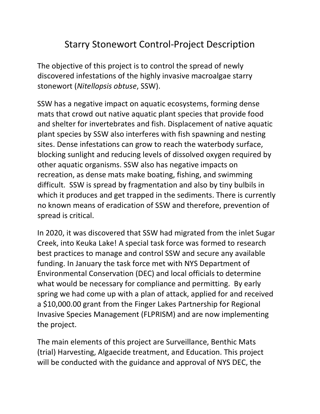# Starry Stonewort Control-Project Description

The objective of this project is to control the spread of newly discovered infestations of the highly invasive macroalgae starry stonewort (Nitellopsis obtuse, SSW).

SSW has a negative impact on aquatic ecosystems, forming dense mats that crowd out native aquatic plant species that provide food and shelter for invertebrates and fish. Displacement of native aquatic plant species by SSW also interferes with fish spawning and nesting sites. Dense infestations can grow to reach the waterbody surface, blocking sunlight and reducing levels of dissolved oxygen required by other aquatic organisms. SSW also has negative impacts on recreation, as dense mats make boating, fishing, and swimming difficult. SSW is spread by fragmentation and also by tiny bulbils in which it produces and get trapped in the sediments. There is currently no known means of eradication of SSW and therefore, prevention of spread is critical.

In 2020, it was discovered that SSW had migrated from the inlet Sugar Creek, into Keuka Lake! A special task force was formed to research best practices to manage and control SSW and secure any available funding. In January the task force met with NYS Department of Environmental Conservation (DEC) and local officials to determine what would be necessary for compliance and permitting. By early spring we had come up with a plan of attack, applied for and received a \$10,000.00 grant from the Finger Lakes Partnership for Regional Invasive Species Management (FLPRISM) and are now implementing the project.

The main elements of this project are Surveillance, Benthic Mats (trial) Harvesting, Algaecide treatment, and Education. This project will be conducted with the guidance and approval of NYS DEC, the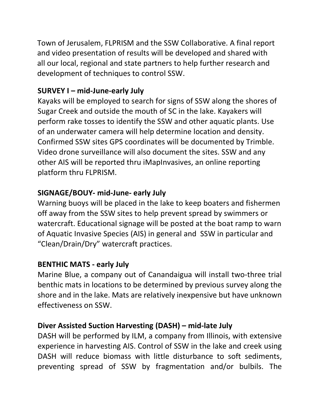Town of Jerusalem, FLPRISM and the SSW Collaborative. A final report and video presentation of results will be developed and shared with all our local, regional and state partners to help further research and development of techniques to control SSW.

## SURVEY I – mid-June-early July

Kayaks will be employed to search for signs of SSW along the shores of Sugar Creek and outside the mouth of SC in the lake. Kayakers will perform rake tosses to identify the SSW and other aquatic plants. Use of an underwater camera will help determine location and density. Confirmed SSW sites GPS coordinates will be documented by Trimble. Video drone surveillance will also document the sites. SSW and any other AIS will be reported thru iMapInvasives, an online reporting platform thru FLPRISM.

## SIGNAGE/BOUY- mid-June- early July

Warning buoys will be placed in the lake to keep boaters and fishermen off away from the SSW sites to help prevent spread by swimmers or watercraft. Educational signage will be posted at the boat ramp to warn of Aquatic Invasive Species (AIS) in general and SSW in particular and "Clean/Drain/Dry" watercraft practices.

#### BENTHIC MATS - early July

Marine Blue, a company out of Canandaigua will install two-three trial benthic mats in locations to be determined by previous survey along the shore and in the lake. Mats are relatively inexpensive but have unknown effectiveness on SSW.

## Diver Assisted Suction Harvesting (DASH) – mid-late July

DASH will be performed by ILM, a company from Illinois, with extensive experience in harvesting AIS. Control of SSW in the lake and creek using DASH will reduce biomass with little disturbance to soft sediments, preventing spread of SSW by fragmentation and/or bulbils. The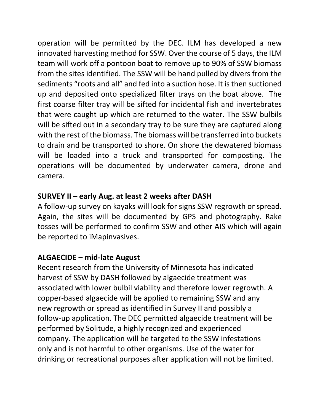operation will be permitted by the DEC. ILM has developed a new innovated harvesting method for SSW. Over the course of 5 days, the ILM team will work off a pontoon boat to remove up to 90% of SSW biomass from the sites identified. The SSW will be hand pulled by divers from the sediments "roots and all" and fed into a suction hose. It is then suctioned up and deposited onto specialized filter trays on the boat above. The first coarse filter tray will be sifted for incidental fish and invertebrates that were caught up which are returned to the water. The SSW bulbils will be sifted out in a secondary tray to be sure they are captured along with the rest of the biomass. The biomass will be transferred into buckets to drain and be transported to shore. On shore the dewatered biomass will be loaded into a truck and transported for composting. The operations will be documented by underwater camera, drone and camera.

#### SURVEY II – early Aug. at least 2 weeks after DASH

A follow-up survey on kayaks will look for signs SSW regrowth or spread. Again, the sites will be documented by GPS and photography. Rake tosses will be performed to confirm SSW and other AIS which will again be reported to iMapinvasives.

#### ALGAECIDE – mid-late August

Recent research from the University of Minnesota has indicated harvest of SSW by DASH followed by algaecide treatment was associated with lower bulbil viability and therefore lower regrowth. A copper-based algaecide will be applied to remaining SSW and any new regrowth or spread as identified in Survey II and possibly a follow-up application. The DEC permitted algaecide treatment will be performed by Solitude, a highly recognized and experienced company. The application will be targeted to the SSW infestations only and is not harmful to other organisms. Use of the water for drinking or recreational purposes after application will not be limited.